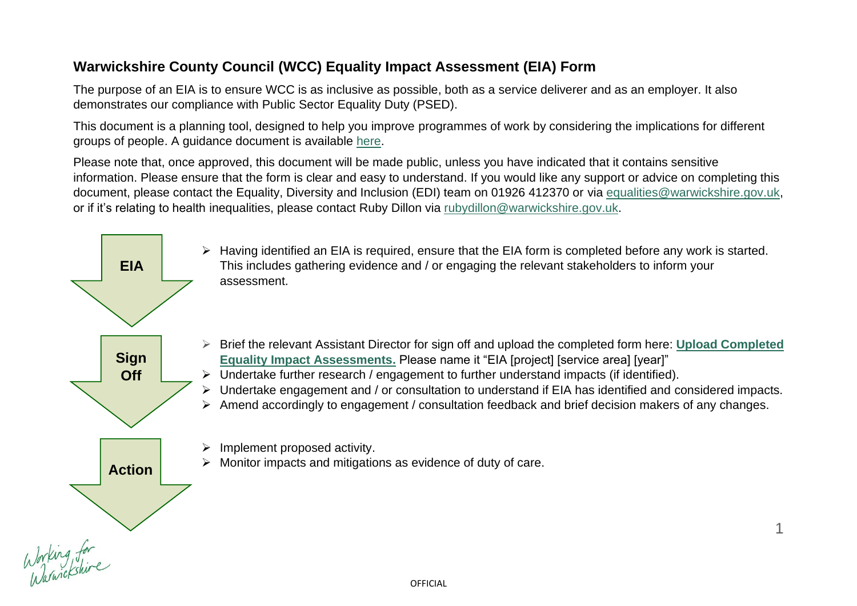# **Warwickshire County Council (WCC) Equality Impact Assessment (EIA) Form**

The purpose of an EIA is to ensure WCC is as inclusive as possible, both as a service deliverer and as an employer. It also demonstrates our compliance with Public Sector Equality Duty (PSED).

This document is a planning tool, designed to help you improve programmes of work by considering the implications for different groups of people. A guidance document is available [here.](https://api.warwickshire.gov.uk/documents/WCCC-261130686-258)

Please note that, once approved, this document will be made public, unless you have indicated that it contains sensitive information. Please ensure that the form is clear and easy to understand. If you would like any support or advice on completing this document, please contact the Equality, Diversity and Inclusion (EDI) team on 01926 412370 or via [equalities@warwickshire.gov.uk,](mailto:equalities@warwickshire.gov.uk) or if it's relating to health inequalities, please contact Ruby Dillon via [rubydillon@warwickshire.gov.uk.](mailto:rubydillon@warwickshire.gov.uk)

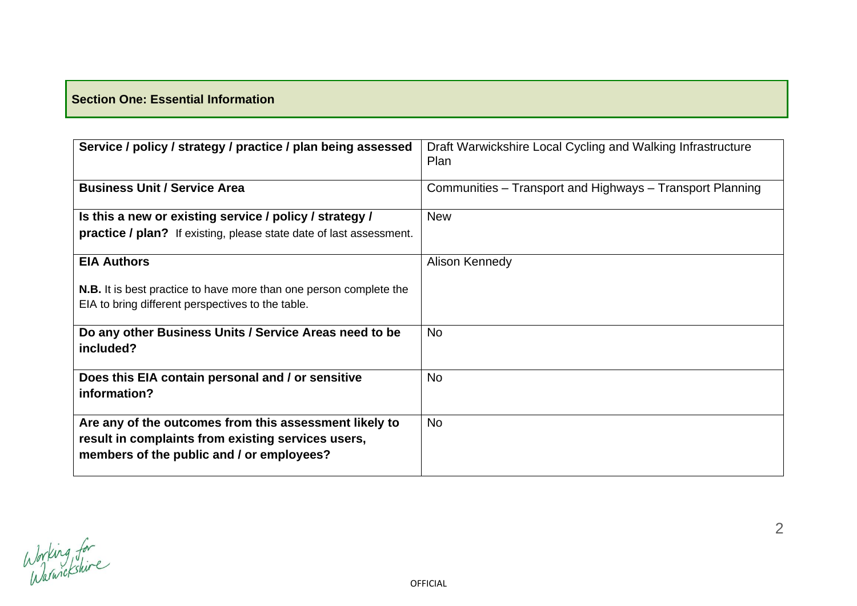# **Section One: Essential Information**

| Service / policy / strategy / practice / plan being assessed                                                                                              | Draft Warwickshire Local Cycling and Walking Infrastructure<br>Plan |
|-----------------------------------------------------------------------------------------------------------------------------------------------------------|---------------------------------------------------------------------|
| <b>Business Unit / Service Area</b>                                                                                                                       | Communities – Transport and Highways – Transport Planning           |
| Is this a new or existing service / policy / strategy /                                                                                                   | <b>New</b>                                                          |
| <b>practice / plan?</b> If existing, please state date of last assessment.                                                                                |                                                                     |
| <b>EIA Authors</b>                                                                                                                                        | Alison Kennedy                                                      |
| <b>N.B.</b> It is best practice to have more than one person complete the                                                                                 |                                                                     |
| EIA to bring different perspectives to the table.                                                                                                         |                                                                     |
| Do any other Business Units / Service Areas need to be<br>included?                                                                                       | <b>No</b>                                                           |
| Does this EIA contain personal and / or sensitive<br>information?                                                                                         | <b>No</b>                                                           |
| Are any of the outcomes from this assessment likely to<br>result in complaints from existing services users,<br>members of the public and / or employees? | <b>No</b>                                                           |

Working for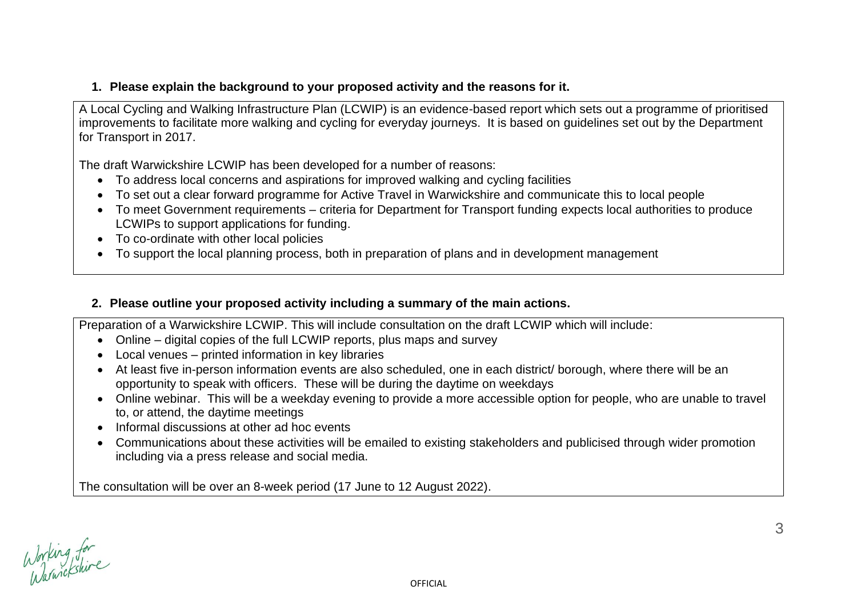# **1. Please explain the background to your proposed activity and the reasons for it.**

A Local Cycling and Walking Infrastructure Plan (LCWIP) is an evidence-based report which sets out a programme of prioritised improvements to facilitate more walking and cycling for everyday journeys. It is based on [guidelines](https://assets.publishing.service.gov.uk/government/uploads/system/uploads/attachment_data/file/908535/cycling-walking-infrastructure-technical-guidance-document.pdf) set out by the Department for Transport in 2017.

The draft Warwickshire LCWIP has been developed for a number of reasons:

- To address local concerns and aspirations for improved walking and cycling facilities
- To set out a clear forward programme for Active Travel in Warwickshire and communicate this to local people
- To meet Government requirements criteria for Department for Transport funding expects local authorities to produce LCWIPs to support applications for funding.
- To co-ordinate with other local policies
- To support the local planning process, both in preparation of plans and in development management

# **2. Please outline your proposed activity including a summary of the main actions.**

Preparation of a Warwickshire LCWIP. This will include consultation on the draft LCWIP which will include:

- Online digital copies of the full LCWIP reports, plus maps and survey
- Local venues printed information in key libraries
- At least five in-person information events are also scheduled, one in each district/ borough, where there will be an opportunity to speak with officers. These will be during the daytime on weekdays
- Online webinar. This will be a weekday evening to provide a more accessible option for people, who are unable to travel to, or attend, the daytime meetings
- Informal discussions at other ad hoc events
- Communications about these activities will be emailed to existing stakeholders and publicised through wider promotion including via a press release and social media.

The consultation will be over an 8-week period (17 June to 12 August 2022).

Working for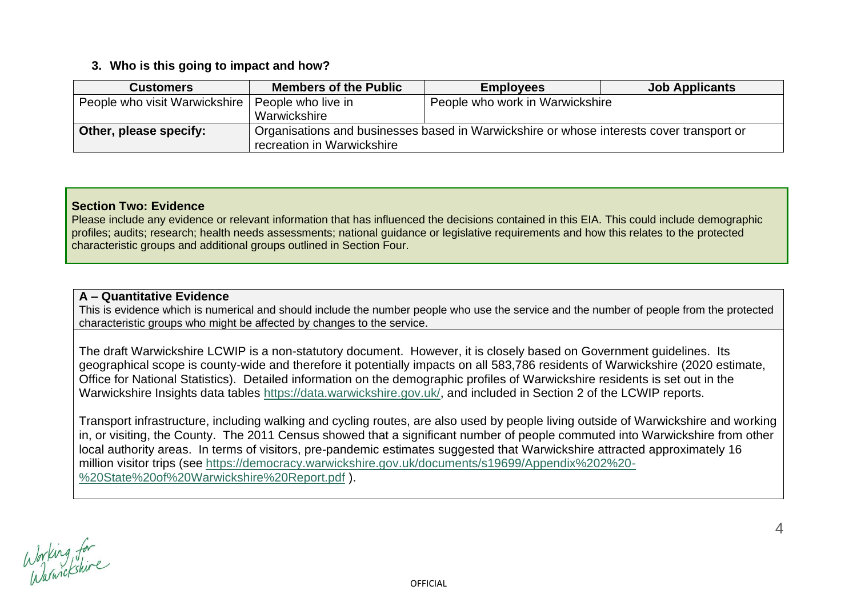#### **3. Who is this going to impact and how?**

| <b>Customers</b>              | <b>Members of the Public</b>                                                             | <b>Job Applicants</b><br><b>Employees</b> |  |  |
|-------------------------------|------------------------------------------------------------------------------------------|-------------------------------------------|--|--|
| People who visit Warwickshire | People who live in                                                                       | People who work in Warwickshire           |  |  |
|                               | Warwickshire                                                                             |                                           |  |  |
| Other, please specify:        | Organisations and businesses based in Warwickshire or whose interests cover transport or |                                           |  |  |
|                               | recreation in Warwickshire                                                               |                                           |  |  |

#### **Section Two: Evidence**

Please include any evidence or relevant information that has influenced the decisions contained in this EIA. This could include demographic profiles; audits; research; health needs assessments; national guidance or legislative requirements and how this relates to the protected characteristic groups and additional groups outlined in Section Four.

#### **A – Quantitative Evidence**

This is evidence which is numerical and should include the number people who use the service and the number of people from the protected characteristic groups who might be affected by changes to the service.

The draft Warwickshire LCWIP is a non-statutory document. However, it is closely based on Government guidelines. Its geographical scope is county-wide and therefore it potentially impacts on all 583,786 residents of Warwickshire (2020 estimate, Office for National Statistics). Detailed information on the demographic profiles of Warwickshire residents is set out in the Warwickshire Insights data tables [https://data.warwickshire.gov.uk/,](https://data.warwickshire.gov.uk/) and included in Section 2 of the LCWIP reports.

Transport infrastructure, including walking and cycling routes, are also used by people living outside of Warwickshire and working in, or visiting, the County. The 2011 Census showed that a significant number of people commuted into Warwickshire from other local authority areas. In terms of visitors, pre-pandemic estimates suggested that Warwickshire attracted approximately 16 million visitor trips (see [https://democracy.warwickshire.gov.uk/documents/s19699/Appendix%202%20-](https://democracy.warwickshire.gov.uk/documents/s19699/Appendix%202%20-%20State%20of%20Warwickshire%20Report.pdf) [%20State%20of%20Warwickshire%20Report.pdf](https://democracy.warwickshire.gov.uk/documents/s19699/Appendix%202%20-%20State%20of%20Warwickshire%20Report.pdf) ).

Working for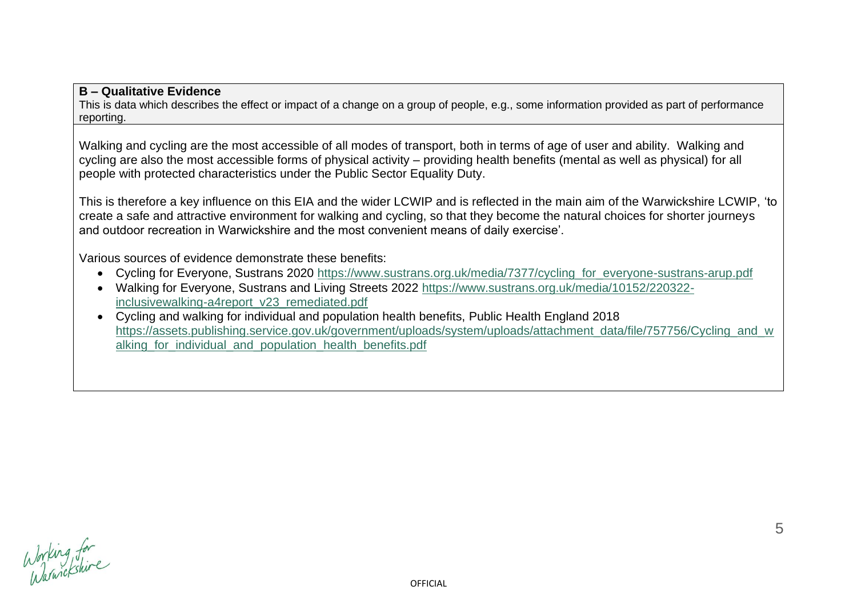#### **B – Qualitative Evidence**

This is data which describes the effect or impact of a change on a group of people, e.g., some information provided as part of performance reporting.

Walking and cycling are the most accessible of all modes of transport, both in terms of age of user and ability. Walking and cycling are also the most accessible forms of physical activity – providing health benefits (mental as well as physical) for all people with protected characteristics under the Public Sector Equality Duty.

This is therefore a key influence on this EIA and the wider LCWIP and is reflected in the main aim of the Warwickshire LCWIP, 'to create a safe and attractive environment for walking and cycling, so that they become the natural choices for shorter journeys and outdoor recreation in Warwickshire and the most convenient means of daily exercise'.

Various sources of evidence demonstrate these benefits:

- Cycling for Everyone, Sustrans 2020 [https://www.sustrans.org.uk/media/7377/cycling\\_for\\_everyone-sustrans-arup.pdf](https://www.sustrans.org.uk/media/7377/cycling_for_everyone-sustrans-arup.pdf)
- Walking for Everyone, Sustrans and Living Streets 2022 [https://www.sustrans.org.uk/media/10152/220322](https://www.sustrans.org.uk/media/10152/220322-inclusivewalking-a4report_v23_remediated.pdf) [inclusivewalking-a4report\\_v23\\_remediated.pdf](https://www.sustrans.org.uk/media/10152/220322-inclusivewalking-a4report_v23_remediated.pdf)
- Cycling and walking for individual and population health benefits, Public Health England 2018 https://assets.publishing.service.gov.uk/government/uploads/system/uploads/attachment\_data/file/757756/Cvcling\_and\_w alking for individual and population health benefits.pdf

Working for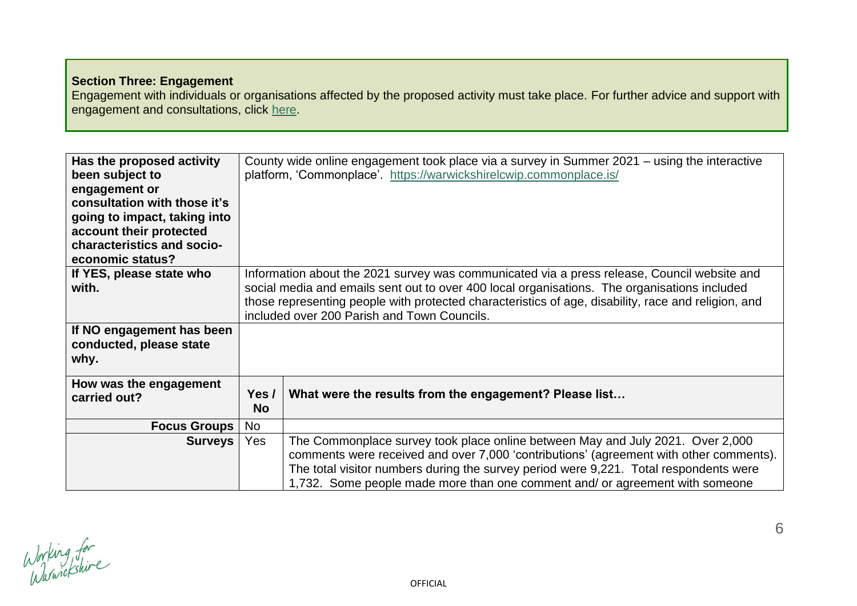# **Section Three: Engagement**

Engagement with individuals or organisations affected by the proposed activity must take place. For further advice and support with engagement and consultations, click [here.](https://warwickshiregovuk.sharepoint.com/SitePages/How%20to/Consultation,-surveys-and-engagement-guidance.aspx)

| Has the proposed activity<br>been subject to<br>engagement or<br>consultation with those it's<br>going to impact, taking into<br>account their protected<br>characteristics and socio-<br>economic status? |                                                                                                                                                                                                                                                                                                                                                   | County wide online engagement took place via a survey in Summer 2021 – using the interactive<br>platform, 'Commonplace'. https://warwickshirelcwip.commonplace.is/                                                                                                                                                                                |
|------------------------------------------------------------------------------------------------------------------------------------------------------------------------------------------------------------|---------------------------------------------------------------------------------------------------------------------------------------------------------------------------------------------------------------------------------------------------------------------------------------------------------------------------------------------------|---------------------------------------------------------------------------------------------------------------------------------------------------------------------------------------------------------------------------------------------------------------------------------------------------------------------------------------------------|
| If YES, please state who<br>with.<br>If NO engagement has been                                                                                                                                             | Information about the 2021 survey was communicated via a press release, Council website and<br>social media and emails sent out to over 400 local organisations. The organisations included<br>those representing people with protected characteristics of age, disability, race and religion, and<br>included over 200 Parish and Town Councils. |                                                                                                                                                                                                                                                                                                                                                   |
| conducted, please state<br>why.                                                                                                                                                                            |                                                                                                                                                                                                                                                                                                                                                   |                                                                                                                                                                                                                                                                                                                                                   |
| How was the engagement<br>carried out?                                                                                                                                                                     | Yes /<br><b>No</b>                                                                                                                                                                                                                                                                                                                                | What were the results from the engagement? Please list                                                                                                                                                                                                                                                                                            |
| <b>Focus Groups</b>                                                                                                                                                                                        | <b>No</b>                                                                                                                                                                                                                                                                                                                                         |                                                                                                                                                                                                                                                                                                                                                   |
| <b>Surveys</b>                                                                                                                                                                                             | Yes                                                                                                                                                                                                                                                                                                                                               | The Commonplace survey took place online between May and July 2021. Over 2,000<br>comments were received and over 7,000 'contributions' (agreement with other comments).<br>The total visitor numbers during the survey period were 9,221. Total respondents were<br>1,732. Some people made more than one comment and/ or agreement with someone |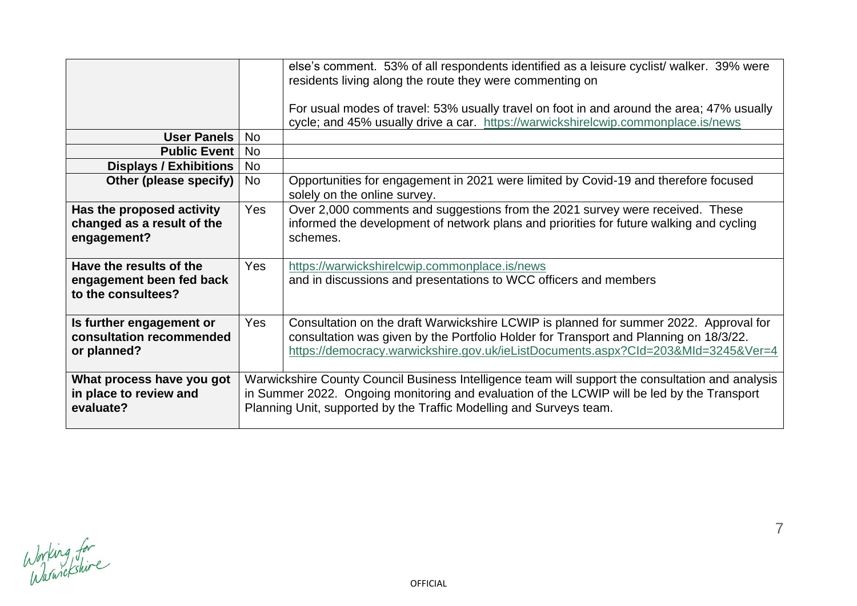|                                                                           |            | else's comment. 53% of all respondents identified as a leisure cyclist/ walker. 39% were<br>residents living along the route they were commenting on                                                                                                                    |
|---------------------------------------------------------------------------|------------|-------------------------------------------------------------------------------------------------------------------------------------------------------------------------------------------------------------------------------------------------------------------------|
|                                                                           |            | For usual modes of travel: 53% usually travel on foot in and around the area; 47% usually<br>cycle; and 45% usually drive a car. https://warwickshirelcwip.commonplace.is/news                                                                                          |
| <b>User Panels</b>                                                        | <b>No</b>  |                                                                                                                                                                                                                                                                         |
| <b>Public Event</b>                                                       | <b>No</b>  |                                                                                                                                                                                                                                                                         |
| <b>Displays / Exhibitions</b>                                             | No         |                                                                                                                                                                                                                                                                         |
| Other (please specify)                                                    | <b>No</b>  | Opportunities for engagement in 2021 were limited by Covid-19 and therefore focused<br>solely on the online survey.                                                                                                                                                     |
| Has the proposed activity<br>changed as a result of the<br>engagement?    | Yes        | Over 2,000 comments and suggestions from the 2021 survey were received. These<br>informed the development of network plans and priorities for future walking and cycling<br>schemes.                                                                                    |
| Have the results of the<br>engagement been fed back<br>to the consultees? | <b>Yes</b> | https://warwickshirelcwip.commonplace.is/news<br>and in discussions and presentations to WCC officers and members                                                                                                                                                       |
| Is further engagement or<br>consultation recommended<br>or planned?       | Yes        | Consultation on the draft Warwickshire LCWIP is planned for summer 2022. Approval for<br>consultation was given by the Portfolio Holder for Transport and Planning on 18/3/22.<br>https://democracy.warwickshire.gov.uk/ieListDocuments.aspx?Cld=203&MId=3245&Ver=4     |
| What process have you got<br>in place to review and<br>evaluate?          |            | Warwickshire County Council Business Intelligence team will support the consultation and analysis<br>in Summer 2022. Ongoing monitoring and evaluation of the LCWIP will be led by the Transport<br>Planning Unit, supported by the Traffic Modelling and Surveys team. |

Working for<br>Warniekshire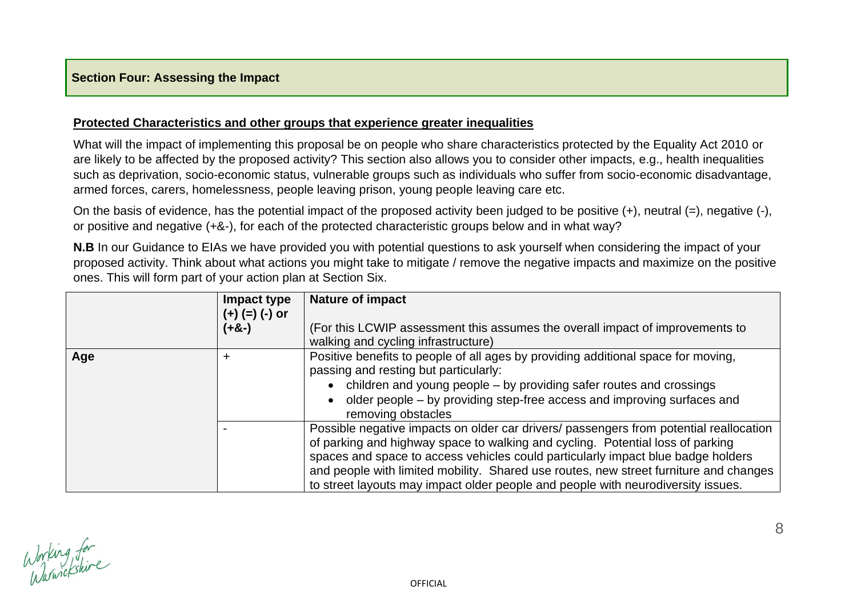#### **Protected Characteristics and other groups that experience greater inequalities**

What will the impact of implementing this proposal be on people who share characteristics protected by the Equality Act 2010 or are likely to be affected by the proposed activity? This section also allows you to consider other impacts, e.g., health inequalities such as deprivation, socio-economic status, vulnerable groups such as individuals who suffer from socio-economic disadvantage, armed forces, carers, homelessness, people leaving prison, young people leaving care etc.

On the basis of evidence, has the potential impact of the proposed activity been judged to be positive (+), neutral (=), negative (-), or positive and negative (+&-), for each of the protected characteristic groups below and in what way?

**N.B** In our Guidance to EIAs we have provided you with potential questions to ask yourself when considering the impact of your proposed activity. Think about what actions you might take to mitigate / remove the negative impacts and maximize on the positive ones. This will form part of your action plan at Section Six.

|     | Impact type<br>$(+)$ (=) $(-)$ or<br>(+&-) | <b>Nature of impact</b><br>(For this LCWIP assessment this assumes the overall impact of improvements to                                                                                                                                                                                                                                                                                                                                  |
|-----|--------------------------------------------|-------------------------------------------------------------------------------------------------------------------------------------------------------------------------------------------------------------------------------------------------------------------------------------------------------------------------------------------------------------------------------------------------------------------------------------------|
|     |                                            | walking and cycling infrastructure)                                                                                                                                                                                                                                                                                                                                                                                                       |
| Age | +                                          | Positive benefits to people of all ages by providing additional space for moving,<br>passing and resting but particularly:<br>• children and young people – by providing safer routes and crossings<br>older people – by providing step-free access and improving surfaces and<br>removing obstacles                                                                                                                                      |
|     |                                            | Possible negative impacts on older car drivers/ passengers from potential reallocation<br>of parking and highway space to walking and cycling. Potential loss of parking<br>spaces and space to access vehicles could particularly impact blue badge holders<br>and people with limited mobility. Shared use routes, new street furniture and changes<br>to street layouts may impact older people and people with neurodiversity issues. |

Working for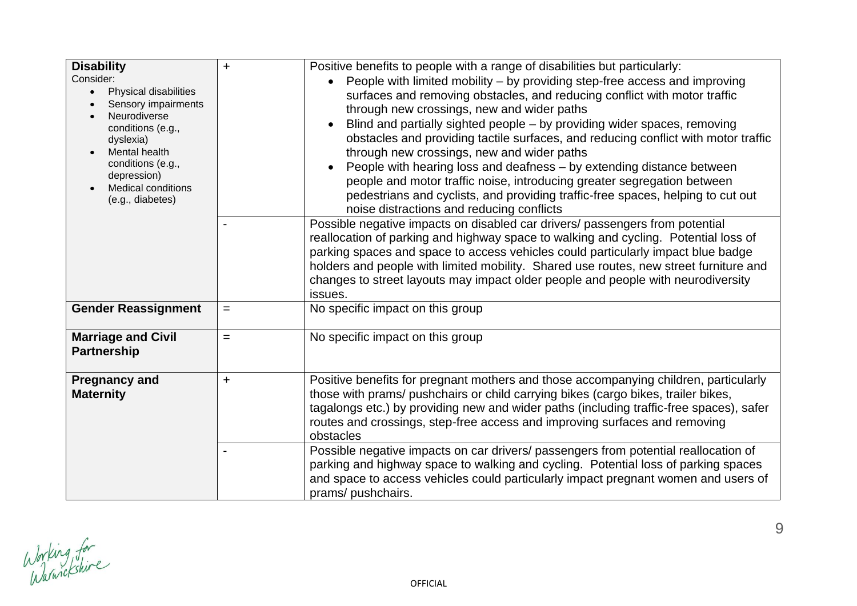| <b>Disability</b><br>Consider:<br>Physical disabilities<br>$\bullet$<br>Sensory impairments<br>Neurodiverse<br>conditions (e.g.,<br>dyslexia)<br>Mental health<br>conditions (e.g.,<br>depression)<br><b>Medical conditions</b><br>(e.g., diabetes) | $\ddot{}$ | Positive benefits to people with a range of disabilities but particularly:<br>People with limited mobility – by providing step-free access and improving<br>surfaces and removing obstacles, and reducing conflict with motor traffic<br>through new crossings, new and wider paths<br>Blind and partially sighted people – by providing wider spaces, removing<br>obstacles and providing tactile surfaces, and reducing conflict with motor traffic<br>through new crossings, new and wider paths<br>People with hearing loss and deafness – by extending distance between<br>people and motor traffic noise, introducing greater segregation between<br>pedestrians and cyclists, and providing traffic-free spaces, helping to cut out<br>noise distractions and reducing conflicts<br>Possible negative impacts on disabled car drivers/ passengers from potential<br>reallocation of parking and highway space to walking and cycling. Potential loss of<br>parking spaces and space to access vehicles could particularly impact blue badge<br>holders and people with limited mobility. Shared use routes, new street furniture and<br>changes to street layouts may impact older people and people with neurodiversity<br>issues. |
|-----------------------------------------------------------------------------------------------------------------------------------------------------------------------------------------------------------------------------------------------------|-----------|--------------------------------------------------------------------------------------------------------------------------------------------------------------------------------------------------------------------------------------------------------------------------------------------------------------------------------------------------------------------------------------------------------------------------------------------------------------------------------------------------------------------------------------------------------------------------------------------------------------------------------------------------------------------------------------------------------------------------------------------------------------------------------------------------------------------------------------------------------------------------------------------------------------------------------------------------------------------------------------------------------------------------------------------------------------------------------------------------------------------------------------------------------------------------------------------------------------------------------------------|
| <b>Gender Reassignment</b>                                                                                                                                                                                                                          | $=$       | No specific impact on this group                                                                                                                                                                                                                                                                                                                                                                                                                                                                                                                                                                                                                                                                                                                                                                                                                                                                                                                                                                                                                                                                                                                                                                                                           |
| <b>Marriage and Civil</b><br><b>Partnership</b>                                                                                                                                                                                                     | $=$       | No specific impact on this group                                                                                                                                                                                                                                                                                                                                                                                                                                                                                                                                                                                                                                                                                                                                                                                                                                                                                                                                                                                                                                                                                                                                                                                                           |
| <b>Pregnancy and</b><br><b>Maternity</b>                                                                                                                                                                                                            | $\ddot{}$ | Positive benefits for pregnant mothers and those accompanying children, particularly<br>those with prams/ pushchairs or child carrying bikes (cargo bikes, trailer bikes,<br>tagalongs etc.) by providing new and wider paths (including traffic-free spaces), safer<br>routes and crossings, step-free access and improving surfaces and removing<br>obstacles<br>Possible negative impacts on car drivers/ passengers from potential reallocation of<br>parking and highway space to walking and cycling. Potential loss of parking spaces<br>and space to access vehicles could particularly impact pregnant women and users of<br>prams/ pushchairs.                                                                                                                                                                                                                                                                                                                                                                                                                                                                                                                                                                                   |

Working for<br>Warnickshire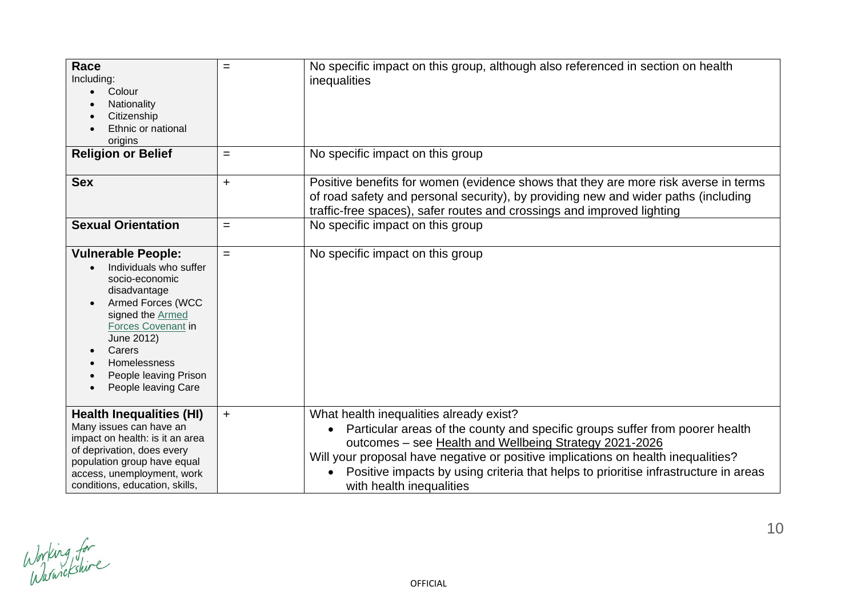| Race<br>Including:<br>Colour<br>Nationality<br>Citizenship<br>Ethnic or national<br>origins                                                                                                                                                                      | $=$       | No specific impact on this group, although also referenced in section on health<br>inequalities                                                                                                                                                                                                                                                                                           |
|------------------------------------------------------------------------------------------------------------------------------------------------------------------------------------------------------------------------------------------------------------------|-----------|-------------------------------------------------------------------------------------------------------------------------------------------------------------------------------------------------------------------------------------------------------------------------------------------------------------------------------------------------------------------------------------------|
| <b>Religion or Belief</b>                                                                                                                                                                                                                                        | $=$       | No specific impact on this group                                                                                                                                                                                                                                                                                                                                                          |
| <b>Sex</b>                                                                                                                                                                                                                                                       | $\ddot{}$ | Positive benefits for women (evidence shows that they are more risk averse in terms<br>of road safety and personal security), by providing new and wider paths (including<br>traffic-free spaces), safer routes and crossings and improved lighting                                                                                                                                       |
| <b>Sexual Orientation</b>                                                                                                                                                                                                                                        | $=$       | No specific impact on this group                                                                                                                                                                                                                                                                                                                                                          |
| <b>Vulnerable People:</b><br>Individuals who suffer<br>socio-economic<br>disadvantage<br><b>Armed Forces (WCC</b><br>signed the Armed<br>Forces Covenant in<br>June 2012)<br>Carers<br>$\bullet$<br>Homelessness<br>People leaving Prison<br>People leaving Care | $=$       | No specific impact on this group                                                                                                                                                                                                                                                                                                                                                          |
| <b>Health Inequalities (HI)</b><br>Many issues can have an<br>impact on health: is it an area<br>of deprivation, does every<br>population group have equal<br>access, unemployment, work<br>conditions, education, skills,                                       | $+$       | What health inequalities already exist?<br>Particular areas of the county and specific groups suffer from poorer health<br>outcomes - see Health and Wellbeing Strategy 2021-2026<br>Will your proposal have negative or positive implications on health inequalities?<br>Positive impacts by using criteria that helps to prioritise infrastructure in areas<br>with health inequalities |

Working for<br>Warniekshire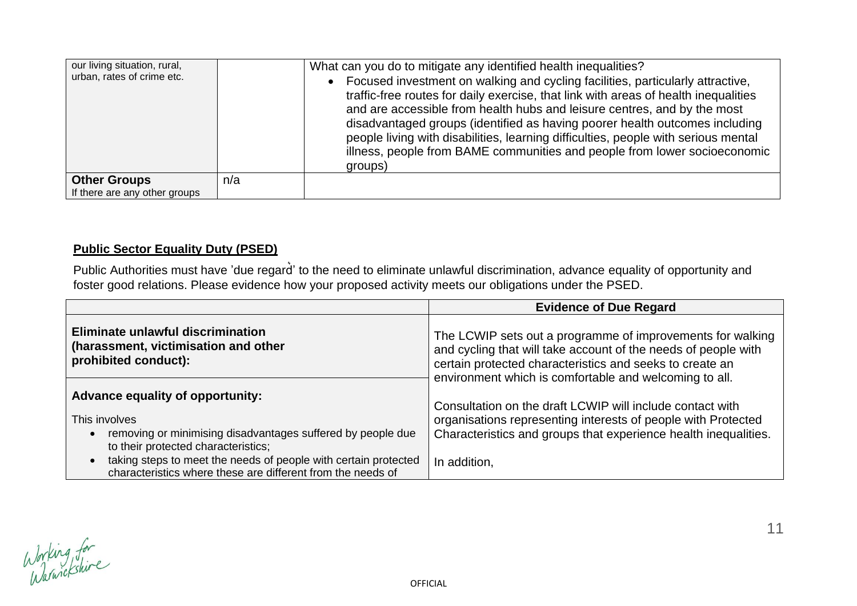| our living situation, rural,<br>urban, rates of crime etc. |     | What can you do to mitigate any identified health inequalities?<br>• Focused investment on walking and cycling facilities, particularly attractive,<br>traffic-free routes for daily exercise, that link with areas of health inequalities<br>and are accessible from health hubs and leisure centres, and by the most<br>disadvantaged groups (identified as having poorer health outcomes including<br>people living with disabilities, learning difficulties, people with serious mental<br>illness, people from BAME communities and people from lower socioeconomic<br>groups) |
|------------------------------------------------------------|-----|-------------------------------------------------------------------------------------------------------------------------------------------------------------------------------------------------------------------------------------------------------------------------------------------------------------------------------------------------------------------------------------------------------------------------------------------------------------------------------------------------------------------------------------------------------------------------------------|
| <b>Other Groups</b><br>If there are any other groups       | n/a |                                                                                                                                                                                                                                                                                                                                                                                                                                                                                                                                                                                     |

# **Public Sector Equality Duty (PSED)**

Public Authorities must have 'due regard' to the need to eliminate unlawful discrimination, advance equality of opportunity and foster good relations. Please evidence how your proposed activity meets our obligations under the PSED.

|                                                                                                                                | <b>Evidence of Due Regard</b>                                                                                                                                                                                                                                                                                   |  |  |
|--------------------------------------------------------------------------------------------------------------------------------|-----------------------------------------------------------------------------------------------------------------------------------------------------------------------------------------------------------------------------------------------------------------------------------------------------------------|--|--|
| Eliminate unlawful discrimination<br>(harassment, victimisation and other<br>prohibited conduct):                              | The LCWIP sets out a programme of improvements for walking<br>and cycling that will take account of the needs of people with<br>certain protected characteristics and seeks to create an<br>environment which is comfortable and welcoming to all.<br>Consultation on the draft LCWIP will include contact with |  |  |
| <b>Advance equality of opportunity:</b>                                                                                        |                                                                                                                                                                                                                                                                                                                 |  |  |
| This involves                                                                                                                  | organisations representing interests of people with Protected                                                                                                                                                                                                                                                   |  |  |
| removing or minimising disadvantages suffered by people due<br>to their protected characteristics;                             | Characteristics and groups that experience health inequalities.                                                                                                                                                                                                                                                 |  |  |
| taking steps to meet the needs of people with certain protected<br>characteristics where these are different from the needs of | In addition,                                                                                                                                                                                                                                                                                                    |  |  |

Working for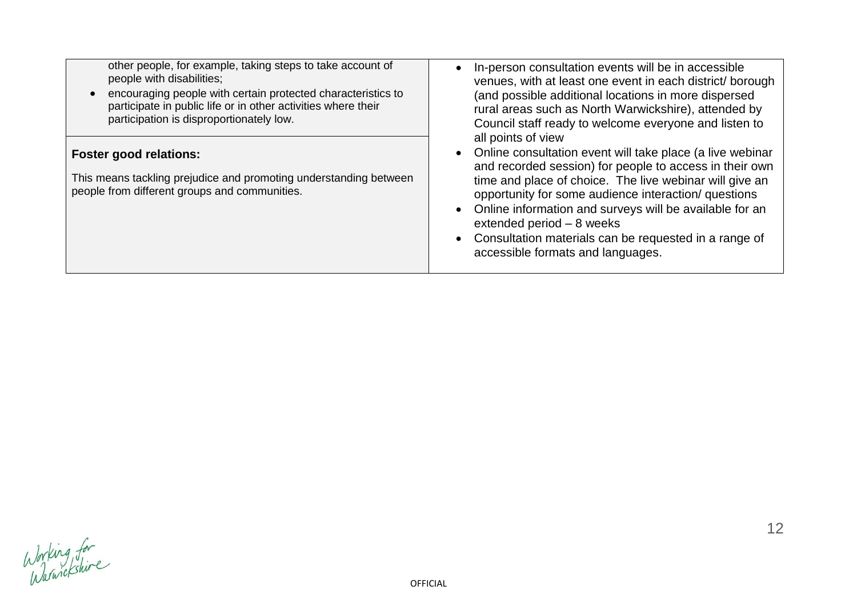| other people, for example, taking steps to take account of                                                                                          | In-person consultation events will be in accessible                                                                                                                                                                                                                                                                                                                                                                                                        |
|-----------------------------------------------------------------------------------------------------------------------------------------------------|------------------------------------------------------------------------------------------------------------------------------------------------------------------------------------------------------------------------------------------------------------------------------------------------------------------------------------------------------------------------------------------------------------------------------------------------------------|
| people with disabilities;                                                                                                                           | venues, with at least one event in each district/ borough                                                                                                                                                                                                                                                                                                                                                                                                  |
| encouraging people with certain protected characteristics to                                                                                        | (and possible additional locations in more dispersed                                                                                                                                                                                                                                                                                                                                                                                                       |
| participate in public life or in other activities where their                                                                                       | rural areas such as North Warwickshire), attended by                                                                                                                                                                                                                                                                                                                                                                                                       |
| participation is disproportionately low.                                                                                                            | Council staff ready to welcome everyone and listen to                                                                                                                                                                                                                                                                                                                                                                                                      |
| <b>Foster good relations:</b><br>This means tackling prejudice and promoting understanding between<br>people from different groups and communities. | all points of view<br>• Online consultation event will take place (a live webinar<br>and recorded session) for people to access in their own<br>time and place of choice. The live webinar will give an<br>opportunity for some audience interaction/ questions<br>• Online information and surveys will be available for an<br>extended period $-8$ weeks<br>• Consultation materials can be requested in a range of<br>accessible formats and languages. |

Working for<br>Warnickshire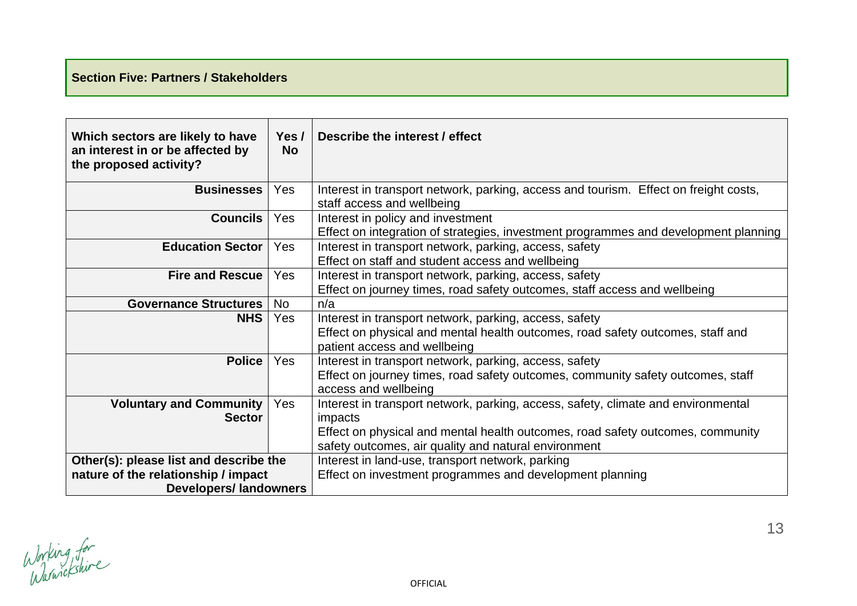# **Section Five: Partners / Stakeholders**

| Which sectors are likely to have<br>an interest in or be affected by<br>the proposed activity?                 | Yes $/$<br><b>No</b> | Describe the interest / effect                                                                                                                                                                                                         |  |
|----------------------------------------------------------------------------------------------------------------|----------------------|----------------------------------------------------------------------------------------------------------------------------------------------------------------------------------------------------------------------------------------|--|
| <b>Businesses</b>                                                                                              | Yes                  | Interest in transport network, parking, access and tourism. Effect on freight costs,<br>staff access and wellbeing                                                                                                                     |  |
| <b>Councils</b>                                                                                                | Yes                  | Interest in policy and investment<br>Effect on integration of strategies, investment programmes and development planning                                                                                                               |  |
| <b>Education Sector</b>                                                                                        | Yes                  | Interest in transport network, parking, access, safety<br>Effect on staff and student access and wellbeing                                                                                                                             |  |
| <b>Fire and Rescue</b>                                                                                         | Yes                  | Interest in transport network, parking, access, safety<br>Effect on journey times, road safety outcomes, staff access and wellbeing                                                                                                    |  |
| <b>Governance Structures</b>                                                                                   | <b>No</b>            | n/a                                                                                                                                                                                                                                    |  |
| <b>NHS</b>                                                                                                     | Yes                  | Interest in transport network, parking, access, safety<br>Effect on physical and mental health outcomes, road safety outcomes, staff and<br>patient access and wellbeing                                                               |  |
| <b>Police</b>                                                                                                  | <b>Yes</b>           | Interest in transport network, parking, access, safety<br>Effect on journey times, road safety outcomes, community safety outcomes, staff<br>access and wellbeing                                                                      |  |
| <b>Voluntary and Community</b><br><b>Sector</b>                                                                | <b>Yes</b>           | Interest in transport network, parking, access, safety, climate and environmental<br>impacts<br>Effect on physical and mental health outcomes, road safety outcomes, community<br>safety outcomes, air quality and natural environment |  |
| Other(s): please list and describe the<br>nature of the relationship / impact<br><b>Developers/ landowners</b> |                      | Interest in land-use, transport network, parking<br>Effect on investment programmes and development planning                                                                                                                           |  |

Working for

13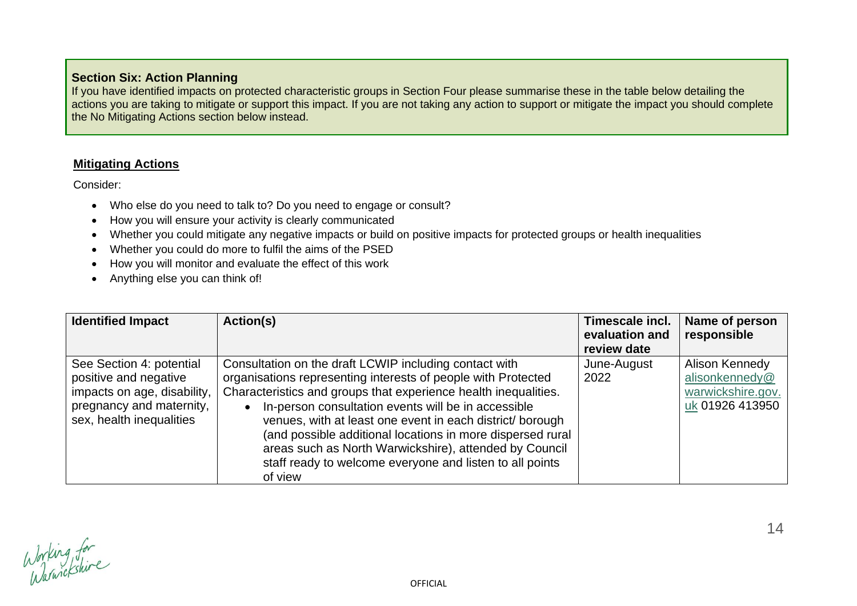## **Section Six: Action Planning**

If you have identified impacts on protected characteristic groups in Section Four please summarise these in the table below detailing the actions you are taking to mitigate or support this impact. If you are not taking any action to support or mitigate the impact you should complete the No Mitigating Actions section below instead.

#### **Mitigating Actions**

Consider:

- Who else do you need to talk to? Do you need to engage or consult?
- How you will ensure your activity is clearly communicated
- Whether you could mitigate any negative impacts or build on positive impacts for protected groups or health inequalities
- Whether you could do more to fulfil the aims of the PSED
- How you will monitor and evaluate the effect of this work
- Anything else you can think of!

| <b>Identified Impact</b>                                                                                                                 | Action(s)                                                                                                                                                                                                                                                                                                                                                                                                                                                                                                     | Timescale incl.<br>evaluation and<br>review date | Name of person<br>responsible                                            |
|------------------------------------------------------------------------------------------------------------------------------------------|---------------------------------------------------------------------------------------------------------------------------------------------------------------------------------------------------------------------------------------------------------------------------------------------------------------------------------------------------------------------------------------------------------------------------------------------------------------------------------------------------------------|--------------------------------------------------|--------------------------------------------------------------------------|
| See Section 4: potential<br>positive and negative<br>impacts on age, disability,<br>pregnancy and maternity,<br>sex, health inequalities | Consultation on the draft LCWIP including contact with<br>organisations representing interests of people with Protected<br>Characteristics and groups that experience health inequalities.<br>In-person consultation events will be in accessible<br>venues, with at least one event in each district/ borough<br>(and possible additional locations in more dispersed rural<br>areas such as North Warwickshire), attended by Council<br>staff ready to welcome everyone and listen to all points<br>of view | June-August<br>2022                              | Alison Kennedy<br>alisonkennedy@<br>warwickshire.gov.<br>uk 01926 413950 |

Working for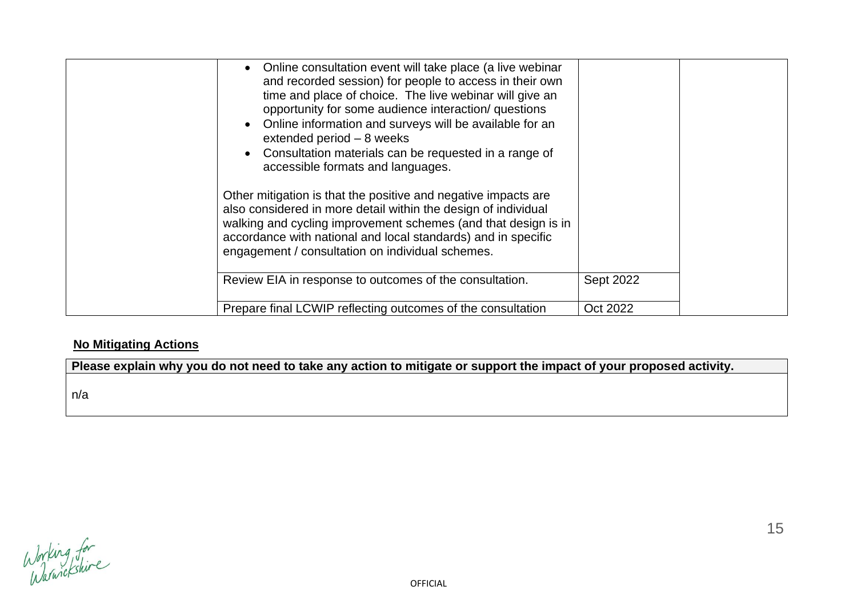| Online consultation event will take place (a live webinar<br>and recorded session) for people to access in their own<br>time and place of choice. The live webinar will give an<br>opportunity for some audience interaction/ questions<br>Online information and surveys will be available for an<br>extended period $-8$ weeks<br>Consultation materials can be requested in a range of<br>accessible formats and languages.<br>Other mitigation is that the positive and negative impacts are<br>also considered in more detail within the design of individual<br>walking and cycling improvement schemes (and that design is in<br>accordance with national and local standards) and in specific<br>engagement / consultation on individual schemes. |           |  |
|-----------------------------------------------------------------------------------------------------------------------------------------------------------------------------------------------------------------------------------------------------------------------------------------------------------------------------------------------------------------------------------------------------------------------------------------------------------------------------------------------------------------------------------------------------------------------------------------------------------------------------------------------------------------------------------------------------------------------------------------------------------|-----------|--|
| Review EIA in response to outcomes of the consultation.                                                                                                                                                                                                                                                                                                                                                                                                                                                                                                                                                                                                                                                                                                   | Sept 2022 |  |
| Prepare final LCWIP reflecting outcomes of the consultation                                                                                                                                                                                                                                                                                                                                                                                                                                                                                                                                                                                                                                                                                               | Oct 2022  |  |

# **No Mitigating Actions**

**Please explain why you do not need to take any action to mitigate or support the impact of your proposed activity.**

n/a

Working for<br>Warwickshire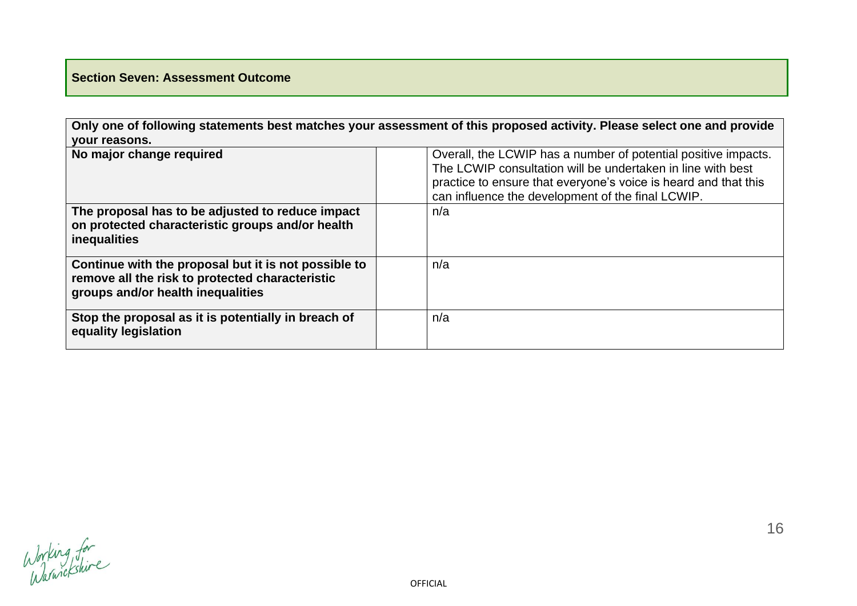# **Section Seven: Assessment Outcome**

**Only one of following statements best matches your assessment of this proposed activity. Please select one and provide your reasons.**

| No major change required                                                                                                                     | Overall, the LCWIP has a number of potential positive impacts.<br>The LCWIP consultation will be undertaken in line with best<br>practice to ensure that everyone's voice is heard and that this<br>can influence the development of the final LCWIP. |
|----------------------------------------------------------------------------------------------------------------------------------------------|-------------------------------------------------------------------------------------------------------------------------------------------------------------------------------------------------------------------------------------------------------|
| The proposal has to be adjusted to reduce impact<br>on protected characteristic groups and/or health<br>inequalities                         | n/a                                                                                                                                                                                                                                                   |
| Continue with the proposal but it is not possible to<br>remove all the risk to protected characteristic<br>groups and/or health inequalities | n/a                                                                                                                                                                                                                                                   |
| Stop the proposal as it is potentially in breach of<br>equality legislation                                                                  | n/a                                                                                                                                                                                                                                                   |

Working for